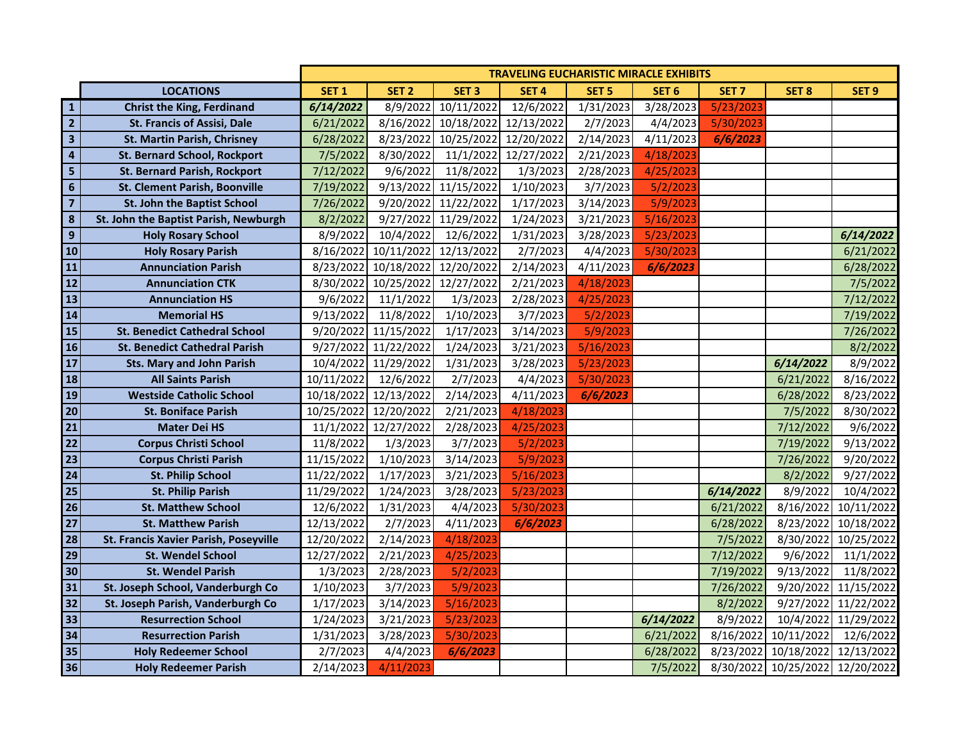|                          |                                       | <b>TRAVELING EUCHARISTIC MIRACLE EXHIBITS</b> |                                 |                      |                  |                  |                  |                  |                  |                  |
|--------------------------|---------------------------------------|-----------------------------------------------|---------------------------------|----------------------|------------------|------------------|------------------|------------------|------------------|------------------|
|                          | <b>LOCATIONS</b>                      | SET <sub>1</sub>                              | SET <sub>2</sub>                | SET <sub>3</sub>     | SET <sub>4</sub> | SET <sub>5</sub> | SET <sub>6</sub> | SET <sub>7</sub> | SET <sub>8</sub> | SET <sub>9</sub> |
| ${\bf 1}$                | <b>Christ the King, Ferdinand</b>     | 6/14/2022                                     | 8/9/2022                        | 10/11/2022           | 12/6/2022        | 1/31/2023        | 3/28/2023        | 5/23/2023        |                  |                  |
| $\overline{2}$           | <b>St. Francis of Assisi, Dale</b>    | 6/21/2022                                     | 8/16/2022                       | 10/18/2022           | 12/13/2022       | 2/7/2023         | 4/4/2023         | 5/30/2023        |                  |                  |
| $\overline{\mathbf{3}}$  | St. Martin Parish, Chrisney           | 6/28/2022                                     | 8/23/2022                       | 10/25/2022           | 12/20/2022       | 2/14/2023        | 4/11/2023        | 6/6/2023         |                  |                  |
| $\overline{\mathbf{4}}$  | <b>St. Bernard School, Rockport</b>   | 7/5/2022                                      | 8/30/2022                       | 11/1/2022            | 12/27/2022       | 2/21/2023        | 4/18/2023        |                  |                  |                  |
| $\overline{\mathbf{5}}$  | <b>St. Bernard Parish, Rockport</b>   | 7/12/2022                                     | 9/6/2022                        | 11/8/2022            | 1/3/2023         | 2/28/2023        | 4/25/2023        |                  |                  |                  |
| $6\phantom{a}$           | <b>St. Clement Parish, Boonville</b>  | 7/19/2022                                     |                                 | 9/13/2022 11/15/2022 | 1/10/2023        | 3/7/2023         | 5/2/2023         |                  |                  |                  |
| $\overline{\mathbf{z}}$  | St. John the Baptist School           | 7/26/2022                                     | 9/20/2022                       | 11/22/2022           | 1/17/2023        | 3/14/2023        | 5/9/2023         |                  |                  |                  |
| 8                        | St. John the Baptist Parish, Newburgh | 8/2/2022                                      |                                 | 9/27/2022 11/29/2022 | 1/24/2023        | 3/21/2023        | 5/16/2023        |                  |                  |                  |
| $\mathbf{9}$             | <b>Holy Rosary School</b>             | 8/9/2022                                      | 10/4/2022                       | 12/6/2022            | 1/31/2023        | 3/28/2023        | 5/23/2023        |                  |                  | 6/14/2022        |
| 10                       | <b>Holy Rosary Parish</b>             |                                               | 8/16/2022 10/11/2022 12/13/2022 |                      | 2/7/2023         | 4/4/2023         | 5/30/2023        |                  |                  | 6/21/2022        |
| 11                       | <b>Annunciation Parish</b>            |                                               | 8/23/2022 10/18/2022 12/20/2022 |                      | 2/14/2023        | 4/11/2023        | 6/6/2023         |                  |                  | 6/28/2022        |
| 12                       | <b>Annunciation CTK</b>               |                                               | 8/30/2022 10/25/2022 12/27/2022 |                      | 2/21/2023        | 4/18/2023        |                  |                  |                  | 7/5/2022         |
| 13                       | <b>Annunciation HS</b>                | 9/6/2022                                      | 11/1/2022                       | 1/3/2023             | 2/28/2023        | 4/25/2023        |                  |                  |                  | 7/12/2022        |
| 14                       | <b>Memorial HS</b>                    | 9/13/2022                                     | 11/8/2022                       | 1/10/2023            | 3/7/2023         | 5/2/2023         |                  |                  |                  | 7/19/2022        |
| $\overline{15}$          | <b>St. Benedict Cathedral School</b>  | 9/20/2022                                     | 11/15/2022                      | 1/17/2023            | 3/14/2023        | 5/9/2023         |                  |                  |                  | 7/26/2022        |
| 16                       | <b>St. Benedict Cathedral Parish</b>  | 9/27/2022                                     | 11/22/2022                      | 1/24/2023            | 3/21/2023        | 5/16/2023        |                  |                  |                  | 8/2/2022         |
| $\overline{\mathbf{17}}$ | <b>Sts. Mary and John Parish</b>      | 10/4/2022                                     | 11/29/2022                      | 1/31/2023            | 3/28/2023        | 5/23/2023        |                  |                  | 6/14/2022        | 8/9/2022         |
| 18                       | <b>All Saints Parish</b>              | 10/11/2022                                    | 12/6/2022                       | 2/7/2023             | 4/4/2023         | 5/30/2023        |                  |                  | 6/21/2022        | 8/16/2022        |
| $\overline{19}$          | <b>Westside Catholic School</b>       | 10/18/2022                                    | 12/13/2022                      | 2/14/2023            | 4/11/2023        | 6/6/2023         |                  |                  | 6/28/2022        | 8/23/2022        |
| $\overline{20}$          | <b>St. Boniface Parish</b>            | 10/25/2022                                    | 12/20/2022                      | 2/21/2023            | 4/18/2023        |                  |                  |                  | 7/5/2022         | 8/30/2022        |
| $\overline{21}$          | <b>Mater Dei HS</b>                   | 11/1/2022                                     | 12/27/2022                      | 2/28/2023            | 4/25/2023        |                  |                  |                  | 7/12/2022        | 9/6/2022         |
| 22                       | <b>Corpus Christi School</b>          | 11/8/2022                                     | 1/3/2023                        | 3/7/2023             | 5/2/2023         |                  |                  |                  | 7/19/2022        | 9/13/2022        |
| 23                       | <b>Corpus Christi Parish</b>          | 11/15/2022                                    | 1/10/2023                       | 3/14/2023            | 5/9/2023         |                  |                  |                  | 7/26/2022        | 9/20/2022        |
| $\overline{24}$          | <b>St. Philip School</b>              | 11/22/2022                                    | 1/17/2023                       | 3/21/2023            | 5/16/2023        |                  |                  |                  | 8/2/2022         | 9/27/2022        |
| $\overline{25}$          | <b>St. Philip Parish</b>              | 11/29/2022                                    | 1/24/2023                       | 3/28/2023            | 5/23/2023        |                  |                  | 6/14/2022        | 8/9/2022         | 10/4/2022        |
| $\overline{26}$          | <b>St. Matthew School</b>             | 12/6/2022                                     | 1/31/2023                       | 4/4/2023             | 5/30/2023        |                  |                  | 6/21/2022        | 8/16/2022        | 10/11/2022       |
| $\overline{27}$          | <b>St. Matthew Parish</b>             | 12/13/2022                                    | 2/7/2023                        | 4/11/2023            | 6/6/2023         |                  |                  | 6/28/2022        | 8/23/2022        | 10/18/2022       |
| $\overline{28}$          | St. Francis Xavier Parish, Poseyville | 12/20/2022                                    | 2/14/2023                       | 4/18/2023            |                  |                  |                  | 7/5/2022         | 8/30/2022        | 10/25/2022       |
| $\overline{29}$          | <b>St. Wendel School</b>              | 12/27/2022                                    | 2/21/2023                       | 4/25/2023            |                  |                  |                  | 7/12/2022        | 9/6/2022         | 11/1/2022        |
| $\overline{30}$          | <b>St. Wendel Parish</b>              | 1/3/2023                                      | 2/28/2023                       | 5/2/2023             |                  |                  |                  | 7/19/2022        | 9/13/2022        | 11/8/2022        |
| $\overline{31}$          | St. Joseph School, Vanderburgh Co     | 1/10/2023                                     | 3/7/2023                        | 5/9/2023             |                  |                  |                  | 7/26/2022        | 9/20/2022        | 11/15/2022       |
| 32                       | St. Joseph Parish, Vanderburgh Co     | 1/17/2023                                     | 3/14/2023                       | 5/16/2023            |                  |                  |                  | 8/2/2022         | 9/27/2022        | 11/22/2022       |
| 33                       | <b>Resurrection School</b>            | 1/24/2023                                     | 3/21/2023                       | 5/23/2023            |                  |                  | 6/14/2022        | 8/9/2022         | 10/4/2022        | 11/29/2022       |
| 34                       | <b>Resurrection Parish</b>            | 1/31/2023                                     | 3/28/2023                       | 5/30/2023            |                  |                  | 6/21/2022        | 8/16/2022        | 10/11/2022       | 12/6/2022        |
| 35                       | <b>Holy Redeemer School</b>           | 2/7/2023                                      | 4/4/2023                        | 6/6/2023             |                  |                  | 6/28/2022        | 8/23/2022        | 10/18/2022       | 12/13/2022       |
| 36                       | <b>Holy Redeemer Parish</b>           | 2/14/2023                                     | 4/11/2023                       |                      |                  |                  | 7/5/2022         | 8/30/2022        | 10/25/2022       | 12/20/2022       |